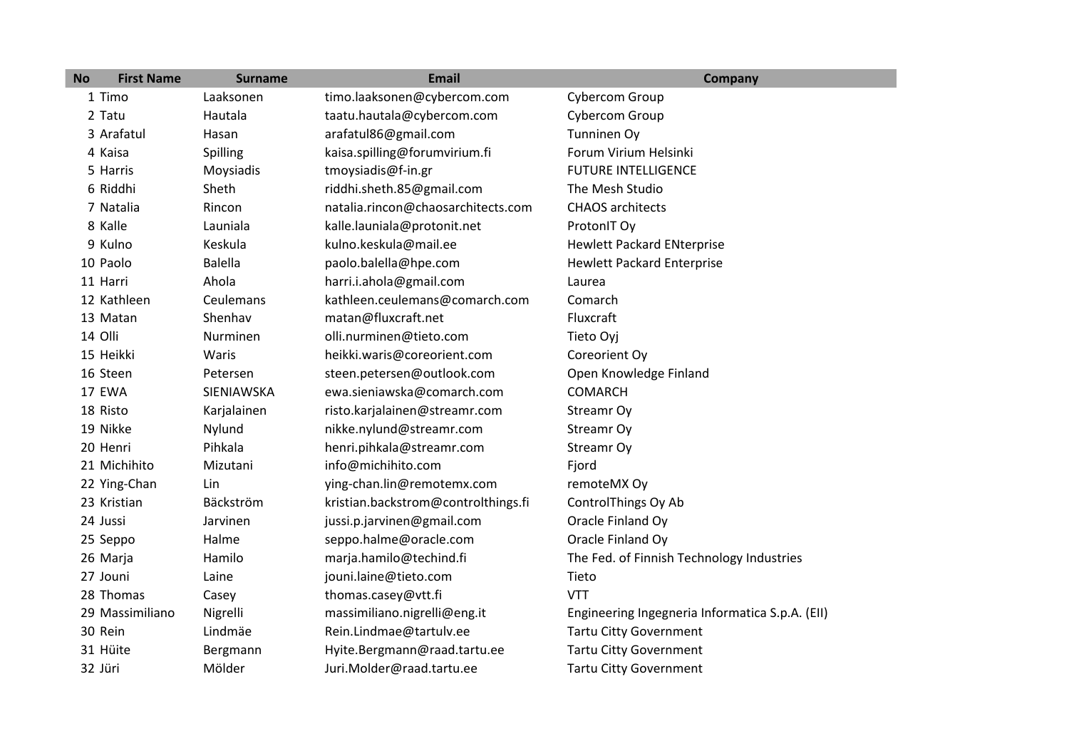| <b>No</b> | <b>First Name</b> | <b>Surname</b> | <b>Email</b>                        | <b>Company</b>                                  |
|-----------|-------------------|----------------|-------------------------------------|-------------------------------------------------|
|           | 1 Timo            | Laaksonen      | timo.laaksonen@cybercom.com         | Cybercom Group                                  |
|           | 2 Tatu            | Hautala        | taatu.hautala@cybercom.com          | Cybercom Group                                  |
|           | 3 Arafatul        | Hasan          | arafatul86@gmail.com                | Tunninen Oy                                     |
|           | 4 Kaisa           | Spilling       | kaisa.spilling@forumvirium.fi       | Forum Virium Helsinki                           |
|           | 5 Harris          | Moysiadis      | tmoysiadis@f-in.gr                  | <b>FUTURE INTELLIGENCE</b>                      |
|           | 6 Riddhi          | Sheth          | riddhi.sheth.85@gmail.com           | The Mesh Studio                                 |
|           | 7 Natalia         | Rincon         | natalia.rincon@chaosarchitects.com  | <b>CHAOS</b> architects                         |
|           | 8 Kalle           | Launiala       | kalle.launiala@protonit.net         | ProtonIT Oy                                     |
|           | 9 Kulno           | Keskula        | kulno.keskula@mail.ee               | <b>Hewlett Packard ENterprise</b>               |
|           | 10 Paolo          | <b>Balella</b> | paolo.balella@hpe.com               | <b>Hewlett Packard Enterprise</b>               |
|           | 11 Harri          | Ahola          | harri.i.ahola@gmail.com             | Laurea                                          |
|           | 12 Kathleen       | Ceulemans      | kathleen.ceulemans@comarch.com      | Comarch                                         |
|           | 13 Matan          | Shenhav        | matan@fluxcraft.net                 | Fluxcraft                                       |
|           | 14 Olli           | Nurminen       | olli.nurminen@tieto.com             | Tieto Oyj                                       |
|           | 15 Heikki         | Waris          | heikki.waris@coreorient.com         | Coreorient Oy                                   |
|           | 16 Steen          | Petersen       | steen.petersen@outlook.com          | Open Knowledge Finland                          |
|           | 17 EWA            | SIENIAWSKA     | ewa.sieniawska@comarch.com          | <b>COMARCH</b>                                  |
|           | 18 Risto          | Karjalainen    | risto.karjalainen@streamr.com       | Streamr Oy                                      |
|           | 19 Nikke          | Nylund         | nikke.nylund@streamr.com            | Streamr Oy                                      |
|           | 20 Henri          | Pihkala        | henri.pihkala@streamr.com           | Streamr Oy                                      |
|           | 21 Michihito      | Mizutani       | info@michihito.com                  | Fjord                                           |
|           | 22 Ying-Chan      | Lin            | ying-chan.lin@remotemx.com          | remoteMX Oy                                     |
|           | 23 Kristian       | Bäckström      | kristian.backstrom@controlthings.fi | ControlThings Oy Ab                             |
|           | 24 Jussi          | Jarvinen       | jussi.p.jarvinen@gmail.com          | Oracle Finland Oy                               |
|           | 25 Seppo          | Halme          | seppo.halme@oracle.com              | Oracle Finland Oy                               |
|           | 26 Marja          | Hamilo         | marja.hamilo@techind.fi             | The Fed. of Finnish Technology Industries       |
|           | 27 Jouni          | Laine          | jouni.laine@tieto.com               | Tieto                                           |
|           | 28 Thomas         | Casey          | thomas.casey@vtt.fi                 | <b>VTT</b>                                      |
|           | 29 Massimiliano   | Nigrelli       | massimiliano.nigrelli@eng.it        | Engineering Ingegneria Informatica S.p.A. (EII) |
|           | 30 Rein           | Lindmäe        | Rein.Lindmae@tartulv.ee             | <b>Tartu Citty Government</b>                   |
|           | 31 Hüite          | Bergmann       | Hyite.Bergmann@raad.tartu.ee        | <b>Tartu Citty Government</b>                   |
|           | 32 Jüri           | Mölder         | Juri.Molder@raad.tartu.ee           | <b>Tartu Citty Government</b>                   |